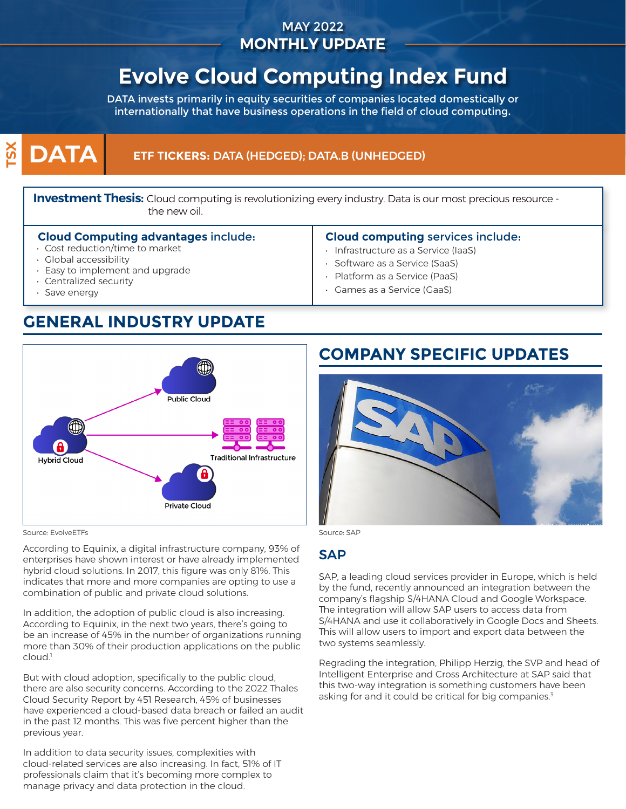### MAY 2022 **MONTHLY UPDATE**

# **Evolve Cloud Computing Index Fund**

DATA invests primarily in equity securities of companies located domestically or internationally that have business operations in the field of cloud computing.

### $\mathbf{\widetilde{S}}$ **DATA**

### **ETF TICKERS:** DATA (HEDGED); DATA.B (UNHEDGED)

**Investment Thesis:** Cloud computing is revolutionizing every industry. Data is our most precious resource the new oil.

#### **Cloud Computing advantages** include:

- Cost reduction/time to market
- Global accessibility
- Easy to implement and upgrade
- Centralized security
- Save energy

### **Cloud computing** services include:

- Infrastructure as a Service (IaaS)
- Software as a Service (SaaS)
- Platform as a Service (PaaS)
- Games as a Service (GaaS)

## **GENERAL INDUSTRY UPDATE**



Source: EvolveETFs Source: SAP

According to Equinix, a digital infrastructure company, 93% of enterprises have shown interest or have already implemented hybrid cloud solutions. In 2017, this figure was only 81%. This indicates that more and more companies are opting to use a combination of public and private cloud solutions.

In addition, the adoption of public cloud is also increasing. According to Equinix, in the next two years, there's going to be an increase of 45% in the number of organizations running more than 30% of their production applications on the public cloud.<sup>1</sup>

But with cloud adoption, specifically to the public cloud, there are also security concerns. According to the 2022 Thales Cloud Security Report by 451 Research, 45% of businesses have experienced a cloud-based data breach or failed an audit in the past 12 months. This was five percent higher than the previous year.

In addition to data security issues, complexities with cloud-related services are also increasing. In fact, 51% of IT professionals claim that it's becoming more complex to manage privacy and data protection in the cloud.

## **COMPANY SPECIFIC UPDATES**



### SAP

SAP, a leading cloud services provider in Europe, which is held by the fund, recently announced an integration between the company's flagship S/4HANA Cloud and Google Workspace. The integration will allow SAP users to access data from S/4HANA and use it collaboratively in Google Docs and Sheets. This will allow users to import and export data between the two systems seamlessly.

Regrading the integration, Philipp Herzig, the SVP and head of Intelligent Enterprise and Cross Architecture at SAP said that this two-way integration is something customers have been asking for and it could be critical for big companies.<sup>3</sup>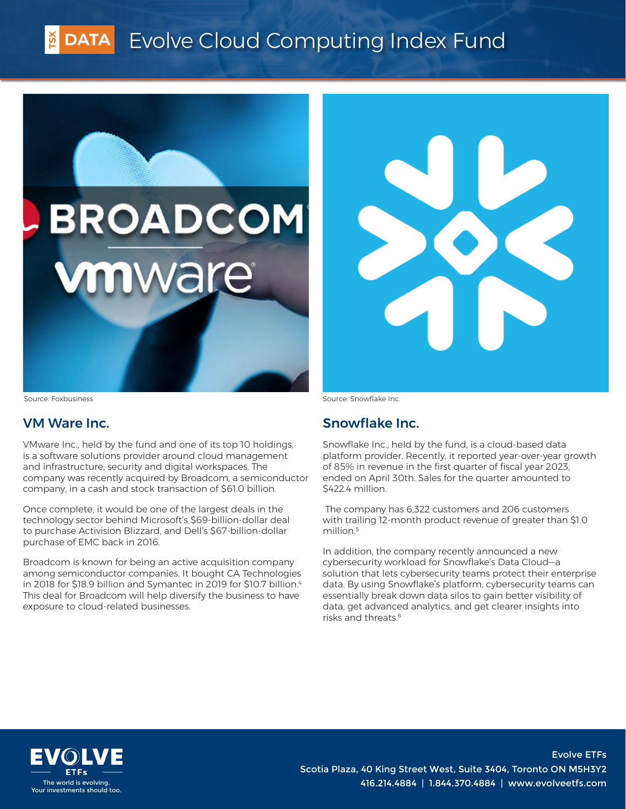# DATA Evolve Cloud Computing Index Fund





Source: Foxbusiness

### VM Ware Inc.

VMware Inc., held by the fund and one of its top 10 holdings, is a software solutions provider around cloud management and infrastructure, security and digital workspaces. The company was recently acquired by Broadcom, a semiconductor company, in a cash and stock transaction of \$61.0 billion.

Once complete, it would be one of the largest deals in the technology sector behind Microsoft's \$69-billion-dollar deal to purchase Activision Blizzard, and Dell's \$67-billion-dollar purchase of EMC back in 2016.

Broadcom is known for being an active acquisition company among semiconductor companies. It bought CA Technologies in 2018 for \$18.9 billion and Symantec in 2019 for \$10.7 billion.<sup>4</sup> This deal for Broadcom will help diversify the business to have exposure to cloud-related businesses.

Source: Snowflake Inc.

### Snowflake Inc.

Snowflake Inc., held by the fund, is a cloud-based data platform provider. Recently, it reported year-over-year growth of 85% in revenue in the first quarter of fiscal year 2023, ended on April 30th. Sales for the quarter amounted to \$422.4 million.

 The company has 6,322 customers and 206 customers with trailing 12-month product revenue of greater than \$1.0 million.<sup>5</sup>

In addition, the company recently announced a new cybersecurity workload for Snowflake's Data Cloud—a solution that lets cybersecurity teams protect their enterprise data. By using Snowflake's platform, cybersecurity teams can essentially break down data silos to gain better visibility of data, get advanced analytics, and get clearer insights into risks and threats.6



Evolve ETFs Scotia Plaza, 40 King Street West, Suite 3404, Toronto ON M5H3Y2 The world is evolving.<br>Your investments should too. And the community of the state of the state of the state of the state of the state of the state of the state of the state of the state of the state of the state of the st